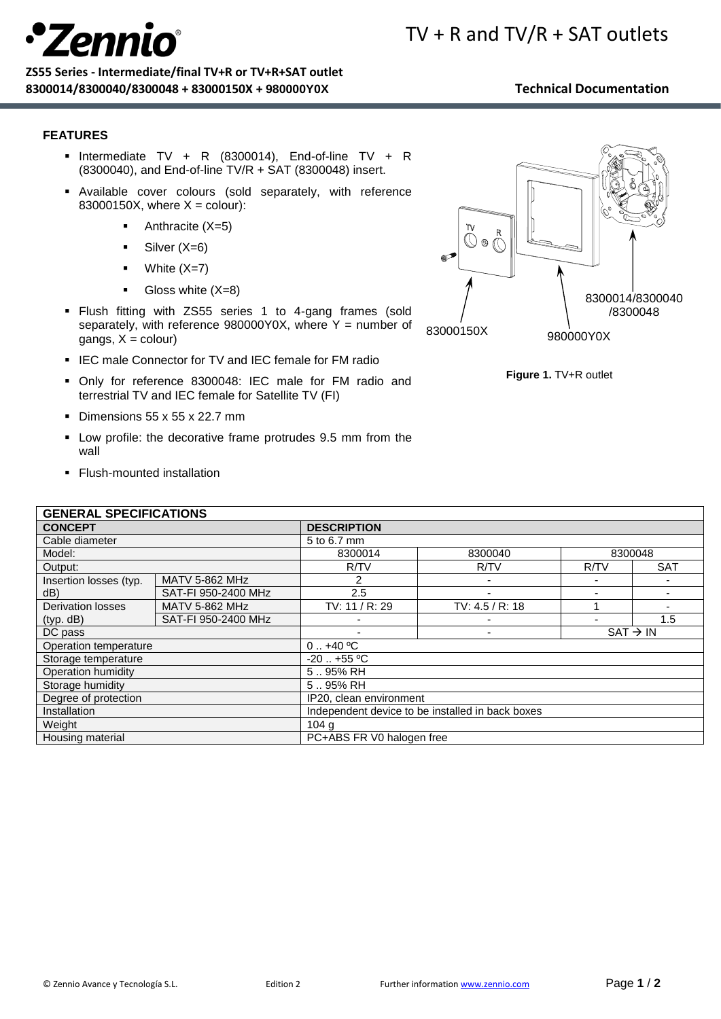# **Zeni**

### **ZS55 Series - Intermediate/final TV+R or TV+R+SAT outlet 8300014/8300040/8300048 + 83000150X + 980000Y0X Technical Documentation**

- 
- 

## **FEATURES**

- **•** Intermediate TV + R (8300014), End-of-line TV + R (8300040), and End-of-line TV/R + SAT (8300048) insert.
- Available cover colours (sold separately, with reference 83000150X, where  $X =$  colour):
	- $\blacksquare$  Anthracite (X=5)
	- $\blacksquare$  Silver (X=6)
	- White  $(X=7)$
	- $\bullet$  Gloss white  $(X=8)$
- Flush fitting with ZS55 series 1 to 4-gang frames (sold separately, with reference  $980000Y0X$ , where Y = number of  $a$ angs,  $X =$  colour)
- **.** IEC male Connector for TV and IEC female for FM radio
- Only for reference 8300048: IEC male for FM radio and terrestrial TV and IEC female for Satellite TV (FI)
- Dimensions 55 x 55 x 22.7 mm
- Low profile: the decorative frame protrudes 9.5 mm from the wall
- Flush-mounted installation

## **GENERAL SPECIFICATIONS**

| GENERAL SPECIFICATIONS        |                       |                                                  |                    |                      |            |
|-------------------------------|-----------------------|--------------------------------------------------|--------------------|----------------------|------------|
| <b>CONCEPT</b>                |                       | <b>DESCRIPTION</b>                               |                    |                      |            |
| Cable diameter                |                       | 5 to 6.7 mm                                      |                    |                      |            |
| Model:                        |                       | 8300014                                          | 8300040<br>8300048 |                      |            |
| Output:                       |                       | R/TV                                             | R/TV               | R/TV                 | <b>SAT</b> |
| Insertion losses (typ.<br>dB) | <b>MATV 5-862 MHz</b> | 2                                                |                    |                      |            |
|                               | SAT-FI 950-2400 MHz   | 2.5                                              |                    |                      |            |
| <b>Derivation losses</b>      | <b>MATV 5-862 MHz</b> | TV: 11 / R: 29                                   | TV: $4.5 / R$ : 18 |                      |            |
| (typ. dB)                     | SAT-FI 950-2400 MHz   |                                                  |                    |                      | 1.5        |
| DC pass                       |                       |                                                  |                    | $SAT \rightarrow IN$ |            |
| Operation temperature         |                       | $0.1 + 40$ °C                                    |                    |                      |            |
| Storage temperature           |                       | $-20$ $+55$ °C                                   |                    |                      |            |
| Operation humidity            |                       | 595% RH                                          |                    |                      |            |
| Storage humidity              |                       | 595% RH                                          |                    |                      |            |
| Degree of protection          |                       | IP20, clean environment                          |                    |                      |            |
| Installation                  |                       | Independent device to be installed in back boxes |                    |                      |            |
| Weight                        |                       | 104 <sub>g</sub>                                 |                    |                      |            |
| Housing material              |                       | PC+ABS FR V0 halogen free                        |                    |                      |            |

# TV + R and TV/R + SAT outlets



**Figure 1.** TV+R outlet